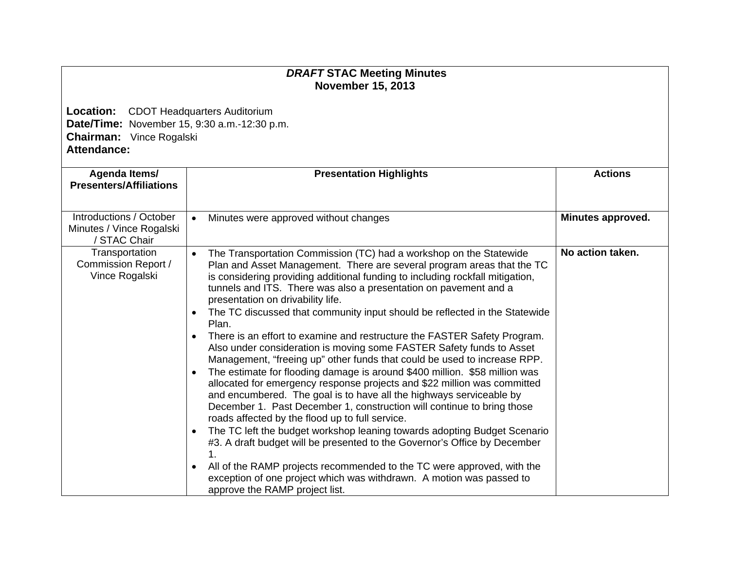## *DRAFT* **STAC Meeting Minutes November 15, 2013**

**Location:** CDOT Headquarters Auditorium **Date/Time:** November 15, 9:30 a.m.-12:30 p.m. **Chairman:** Vince Rogalski **Attendance:** 

| Agenda Items/<br><b>Presenters/Affiliations</b>                     | <b>Presentation Highlights</b>                                                                                                                                                                                                                                                                                                                                                                                                                                                                                                                                                                                                                                                                                                                                                                                                                                                                                                                                                                                                                                                                                                                                                                                                                                                                                                                                                                                                                               | <b>Actions</b>    |
|---------------------------------------------------------------------|--------------------------------------------------------------------------------------------------------------------------------------------------------------------------------------------------------------------------------------------------------------------------------------------------------------------------------------------------------------------------------------------------------------------------------------------------------------------------------------------------------------------------------------------------------------------------------------------------------------------------------------------------------------------------------------------------------------------------------------------------------------------------------------------------------------------------------------------------------------------------------------------------------------------------------------------------------------------------------------------------------------------------------------------------------------------------------------------------------------------------------------------------------------------------------------------------------------------------------------------------------------------------------------------------------------------------------------------------------------------------------------------------------------------------------------------------------------|-------------------|
| Introductions / October<br>Minutes / Vince Rogalski<br>/ STAC Chair | Minutes were approved without changes<br>$\bullet$                                                                                                                                                                                                                                                                                                                                                                                                                                                                                                                                                                                                                                                                                                                                                                                                                                                                                                                                                                                                                                                                                                                                                                                                                                                                                                                                                                                                           | Minutes approved. |
| Transportation<br>Commission Report /<br>Vince Rogalski             | The Transportation Commission (TC) had a workshop on the Statewide<br>$\bullet$<br>Plan and Asset Management. There are several program areas that the TC<br>is considering providing additional funding to including rockfall mitigation,<br>tunnels and ITS. There was also a presentation on pavement and a<br>presentation on drivability life.<br>The TC discussed that community input should be reflected in the Statewide<br>$\bullet$<br>Plan.<br>There is an effort to examine and restructure the FASTER Safety Program.<br>$\bullet$<br>Also under consideration is moving some FASTER Safety funds to Asset<br>Management, "freeing up" other funds that could be used to increase RPP.<br>The estimate for flooding damage is around \$400 million. \$58 million was<br>$\bullet$<br>allocated for emergency response projects and \$22 million was committed<br>and encumbered. The goal is to have all the highways serviceable by<br>December 1. Past December 1, construction will continue to bring those<br>roads affected by the flood up to full service.<br>The TC left the budget workshop leaning towards adopting Budget Scenario<br>$\bullet$<br>#3. A draft budget will be presented to the Governor's Office by December<br>1.<br>All of the RAMP projects recommended to the TC were approved, with the<br>$\bullet$<br>exception of one project which was withdrawn. A motion was passed to<br>approve the RAMP project list. | No action taken.  |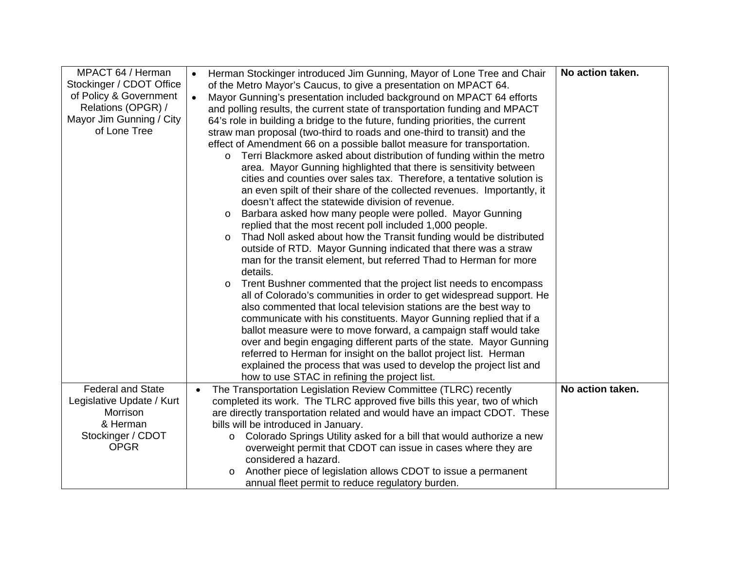| MPACT 64 / Herman         | $\bullet$ | Herman Stockinger introduced Jim Gunning, Mayor of Lone Tree and Chair          | No action taken. |
|---------------------------|-----------|---------------------------------------------------------------------------------|------------------|
| Stockinger / CDOT Office  |           | of the Metro Mayor's Caucus, to give a presentation on MPACT 64.                |                  |
| of Policy & Government    | $\bullet$ | Mayor Gunning's presentation included background on MPACT 64 efforts            |                  |
| Relations (OPGR) /        |           | and polling results, the current state of transportation funding and MPACT      |                  |
| Mayor Jim Gunning / City  |           | 64's role in building a bridge to the future, funding priorities, the current   |                  |
| of Lone Tree              |           | straw man proposal (two-third to roads and one-third to transit) and the        |                  |
|                           |           | effect of Amendment 66 on a possible ballot measure for transportation.         |                  |
|                           |           | Terri Blackmore asked about distribution of funding within the metro<br>$\circ$ |                  |
|                           |           | area. Mayor Gunning highlighted that there is sensitivity between               |                  |
|                           |           | cities and counties over sales tax. Therefore, a tentative solution is          |                  |
|                           |           | an even spilt of their share of the collected revenues. Importantly, it         |                  |
|                           |           | doesn't affect the statewide division of revenue.                               |                  |
|                           |           | Barbara asked how many people were polled. Mayor Gunning<br>$\circ$             |                  |
|                           |           | replied that the most recent poll included 1,000 people.                        |                  |
|                           |           | Thad Noll asked about how the Transit funding would be distributed<br>$\circ$   |                  |
|                           |           | outside of RTD. Mayor Gunning indicated that there was a straw                  |                  |
|                           |           | man for the transit element, but referred Thad to Herman for more               |                  |
|                           |           | details.                                                                        |                  |
|                           |           | Trent Bushner commented that the project list needs to encompass                |                  |
|                           |           | all of Colorado's communities in order to get widespread support. He            |                  |
|                           |           | also commented that local television stations are the best way to               |                  |
|                           |           | communicate with his constituents. Mayor Gunning replied that if a              |                  |
|                           |           | ballot measure were to move forward, a campaign staff would take                |                  |
|                           |           | over and begin engaging different parts of the state. Mayor Gunning             |                  |
|                           |           | referred to Herman for insight on the ballot project list. Herman               |                  |
|                           |           | explained the process that was used to develop the project list and             |                  |
|                           |           | how to use STAC in refining the project list.                                   |                  |
| <b>Federal and State</b>  | $\bullet$ | The Transportation Legislation Review Committee (TLRC) recently                 | No action taken. |
| Legislative Update / Kurt |           | completed its work. The TLRC approved five bills this year, two of which        |                  |
| Morrison                  |           | are directly transportation related and would have an impact CDOT. These        |                  |
| & Herman                  |           | bills will be introduced in January.                                            |                  |
| Stockinger / CDOT         |           | Colorado Springs Utility asked for a bill that would authorize a new<br>$\circ$ |                  |
| <b>OPGR</b>               |           | overweight permit that CDOT can issue in cases where they are                   |                  |
|                           |           | considered a hazard.                                                            |                  |
|                           |           | Another piece of legislation allows CDOT to issue a permanent                   |                  |
|                           |           | annual fleet permit to reduce regulatory burden.                                |                  |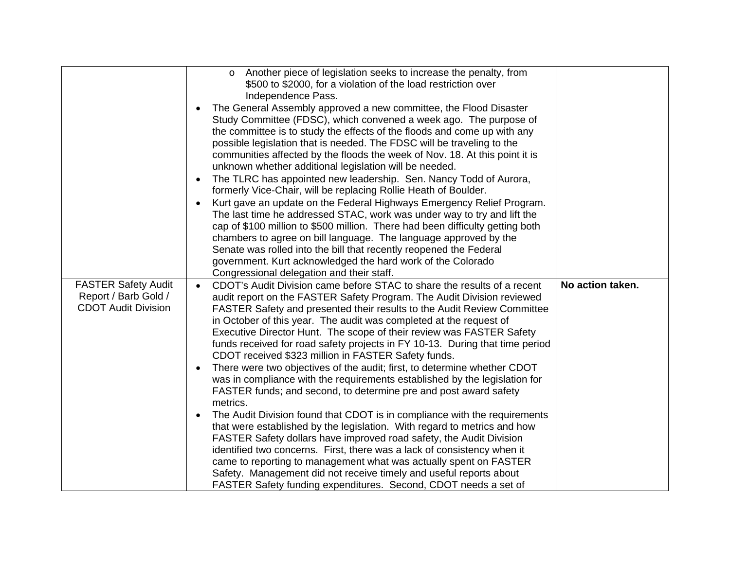|                            | Another piece of legislation seeks to increase the penalty, from<br>$\circ$            |                  |
|----------------------------|----------------------------------------------------------------------------------------|------------------|
|                            | \$500 to \$2000, for a violation of the load restriction over                          |                  |
|                            |                                                                                        |                  |
|                            | Independence Pass.                                                                     |                  |
|                            | The General Assembly approved a new committee, the Flood Disaster                      |                  |
|                            | Study Committee (FDSC), which convened a week ago. The purpose of                      |                  |
|                            | the committee is to study the effects of the floods and come up with any               |                  |
|                            | possible legislation that is needed. The FDSC will be traveling to the                 |                  |
|                            | communities affected by the floods the week of Nov. 18. At this point it is            |                  |
|                            | unknown whether additional legislation will be needed.                                 |                  |
|                            | The TLRC has appointed new leadership. Sen. Nancy Todd of Aurora,<br>$\bullet$         |                  |
|                            |                                                                                        |                  |
|                            | formerly Vice-Chair, will be replacing Rollie Heath of Boulder.                        |                  |
|                            | Kurt gave an update on the Federal Highways Emergency Relief Program.                  |                  |
|                            | The last time he addressed STAC, work was under way to try and lift the                |                  |
|                            | cap of \$100 million to \$500 million. There had been difficulty getting both          |                  |
|                            | chambers to agree on bill language. The language approved by the                       |                  |
|                            | Senate was rolled into the bill that recently reopened the Federal                     |                  |
|                            | government. Kurt acknowledged the hard work of the Colorado                            |                  |
|                            | Congressional delegation and their staff.                                              |                  |
| <b>FASTER Safety Audit</b> | CDOT's Audit Division came before STAC to share the results of a recent<br>$\bullet$   | No action taken. |
| Report / Barb Gold /       | audit report on the FASTER Safety Program. The Audit Division reviewed                 |                  |
| <b>CDOT Audit Division</b> | FASTER Safety and presented their results to the Audit Review Committee                |                  |
|                            | in October of this year. The audit was completed at the request of                     |                  |
|                            | Executive Director Hunt. The scope of their review was FASTER Safety                   |                  |
|                            | funds received for road safety projects in FY 10-13. During that time period           |                  |
|                            | CDOT received \$323 million in FASTER Safety funds.                                    |                  |
|                            |                                                                                        |                  |
|                            | There were two objectives of the audit; first, to determine whether CDOT<br>$\bullet$  |                  |
|                            |                                                                                        |                  |
|                            | was in compliance with the requirements established by the legislation for             |                  |
|                            | FASTER funds; and second, to determine pre and post award safety                       |                  |
|                            | metrics.                                                                               |                  |
|                            | The Audit Division found that CDOT is in compliance with the requirements<br>$\bullet$ |                  |
|                            | that were established by the legislation. With regard to metrics and how               |                  |
|                            | FASTER Safety dollars have improved road safety, the Audit Division                    |                  |
|                            | identified two concerns. First, there was a lack of consistency when it                |                  |
|                            | came to reporting to management what was actually spent on FASTER                      |                  |
|                            | Safety. Management did not receive timely and useful reports about                     |                  |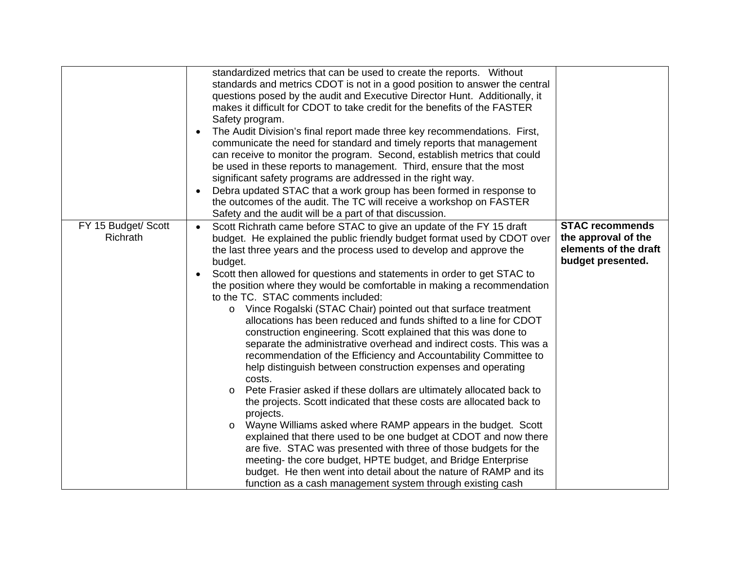|                     | standardized metrics that can be used to create the reports. Without                  |                        |
|---------------------|---------------------------------------------------------------------------------------|------------------------|
|                     | standards and metrics CDOT is not in a good position to answer the central            |                        |
|                     | questions posed by the audit and Executive Director Hunt. Additionally, it            |                        |
|                     | makes it difficult for CDOT to take credit for the benefits of the FASTER             |                        |
|                     | Safety program.                                                                       |                        |
|                     | The Audit Division's final report made three key recommendations. First,<br>$\bullet$ |                        |
|                     | communicate the need for standard and timely reports that management                  |                        |
|                     | can receive to monitor the program. Second, establish metrics that could              |                        |
|                     | be used in these reports to management. Third, ensure that the most                   |                        |
|                     | significant safety programs are addressed in the right way.                           |                        |
|                     | Debra updated STAC that a work group has been formed in response to                   |                        |
|                     | the outcomes of the audit. The TC will receive a workshop on FASTER                   |                        |
|                     | Safety and the audit will be a part of that discussion.                               |                        |
| FY 15 Budget/ Scott | Scott Richrath came before STAC to give an update of the FY 15 draft<br>$\bullet$     | <b>STAC recommends</b> |
| Richrath            | budget. He explained the public friendly budget format used by CDOT over              | the approval of the    |
|                     | the last three years and the process used to develop and approve the                  | elements of the draft  |
|                     | budget.                                                                               | budget presented.      |
|                     |                                                                                       |                        |
|                     | Scott then allowed for questions and statements in order to get STAC to               |                        |
|                     | the position where they would be comfortable in making a recommendation               |                        |
|                     | to the TC. STAC comments included:                                                    |                        |
|                     | Vince Rogalski (STAC Chair) pointed out that surface treatment<br>$\circ$             |                        |
|                     | allocations has been reduced and funds shifted to a line for CDOT                     |                        |
|                     | construction engineering. Scott explained that this was done to                       |                        |
|                     | separate the administrative overhead and indirect costs. This was a                   |                        |
|                     | recommendation of the Efficiency and Accountability Committee to                      |                        |
|                     | help distinguish between construction expenses and operating                          |                        |
|                     | costs.                                                                                |                        |
|                     | Pete Frasier asked if these dollars are ultimately allocated back to<br>$\circ$       |                        |
|                     | the projects. Scott indicated that these costs are allocated back to                  |                        |
|                     | projects.                                                                             |                        |
|                     | Wayne Williams asked where RAMP appears in the budget. Scott<br>$\circ$               |                        |
|                     | explained that there used to be one budget at CDOT and now there                      |                        |
|                     | are five. STAC was presented with three of those budgets for the                      |                        |
|                     | meeting- the core budget, HPTE budget, and Bridge Enterprise                          |                        |
|                     | budget. He then went into detail about the nature of RAMP and its                     |                        |
|                     | function as a cash management system through existing cash                            |                        |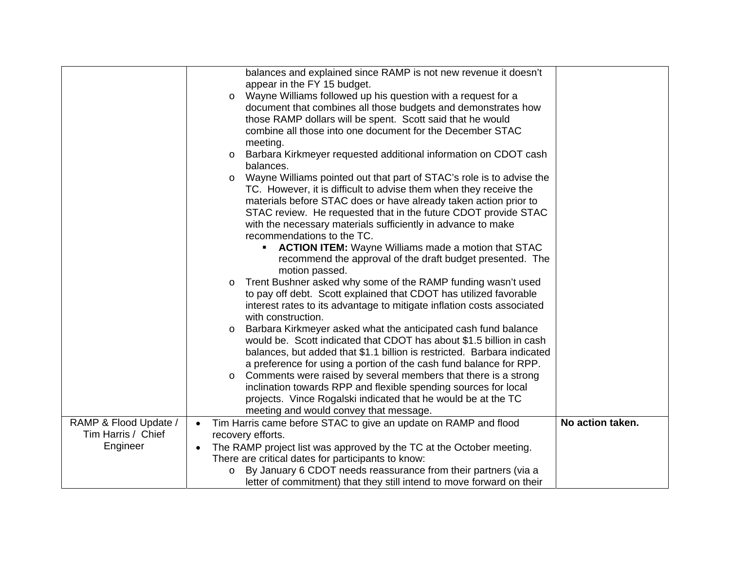|                       | balances and explained since RAMP is not new revenue it doesn't                   |                  |
|-----------------------|-----------------------------------------------------------------------------------|------------------|
|                       | appear in the FY 15 budget.                                                       |                  |
|                       | Wayne Williams followed up his question with a request for a<br>$\circ$           |                  |
|                       | document that combines all those budgets and demonstrates how                     |                  |
|                       | those RAMP dollars will be spent. Scott said that he would                        |                  |
|                       | combine all those into one document for the December STAC                         |                  |
|                       | meeting.                                                                          |                  |
|                       | Barbara Kirkmeyer requested additional information on CDOT cash<br>$\circ$        |                  |
|                       | balances.                                                                         |                  |
|                       | Wayne Williams pointed out that part of STAC's role is to advise the<br>$\circ$   |                  |
|                       | TC. However, it is difficult to advise them when they receive the                 |                  |
|                       | materials before STAC does or have already taken action prior to                  |                  |
|                       | STAC review. He requested that in the future CDOT provide STAC                    |                  |
|                       | with the necessary materials sufficiently in advance to make                      |                  |
|                       | recommendations to the TC.                                                        |                  |
|                       | <b>ACTION ITEM:</b> Wayne Williams made a motion that STAC                        |                  |
|                       | recommend the approval of the draft budget presented. The                         |                  |
|                       | motion passed.                                                                    |                  |
|                       | Trent Bushner asked why some of the RAMP funding wasn't used<br>O                 |                  |
|                       | to pay off debt. Scott explained that CDOT has utilized favorable                 |                  |
|                       | interest rates to its advantage to mitigate inflation costs associated            |                  |
|                       | with construction.                                                                |                  |
|                       | Barbara Kirkmeyer asked what the anticipated cash fund balance<br>O               |                  |
|                       | would be. Scott indicated that CDOT has about \$1.5 billion in cash               |                  |
|                       | balances, but added that \$1.1 billion is restricted. Barbara indicated           |                  |
|                       | a preference for using a portion of the cash fund balance for RPP.                |                  |
|                       | Comments were raised by several members that there is a strong<br>$\circ$         |                  |
|                       | inclination towards RPP and flexible spending sources for local                   |                  |
|                       | projects. Vince Rogalski indicated that he would be at the TC                     |                  |
|                       | meeting and would convey that message.                                            |                  |
| RAMP & Flood Update / | Tim Harris came before STAC to give an update on RAMP and flood<br>$\bullet$      | No action taken. |
| Tim Harris / Chief    | recovery efforts.                                                                 |                  |
| Engineer              | The RAMP project list was approved by the TC at the October meeting.<br>$\bullet$ |                  |
|                       | There are critical dates for participants to know:                                |                  |
|                       | By January 6 CDOT needs reassurance from their partners (via a<br>$\circ$         |                  |
|                       | letter of commitment) that they still intend to move forward on their             |                  |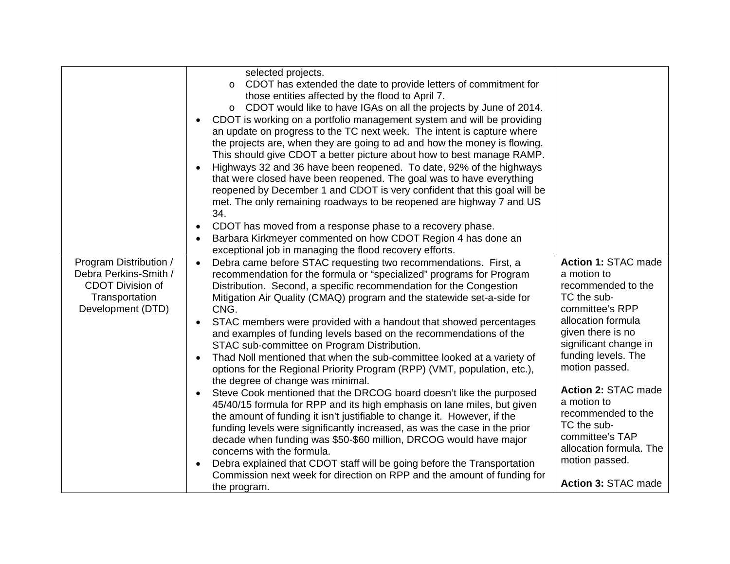|                                                                                                                   | selected projects.<br>CDOT has extended the date to provide letters of commitment for<br>$\circ$<br>those entities affected by the flood to April 7.<br>o CDOT would like to have IGAs on all the projects by June of 2014.<br>CDOT is working on a portfolio management system and will be providing<br>an update on progress to the TC next week. The intent is capture where<br>the projects are, when they are going to ad and how the money is flowing.<br>This should give CDOT a better picture about how to best manage RAMP.<br>Highways 32 and 36 have been reopened. To date, 92% of the highways<br>that were closed have been reopened. The goal was to have everything<br>reopened by December 1 and CDOT is very confident that this goal will be<br>met. The only remaining roadways to be reopened are highway 7 and US<br>34.<br>CDOT has moved from a response phase to a recovery phase.<br>Barbara Kirkmeyer commented on how CDOT Region 4 has done an<br>exceptional job in managing the flood recovery efforts.                                                                                                                                                                                                                                                            |                                                                                                                                                                                                                                                                                                                                                                                  |
|-------------------------------------------------------------------------------------------------------------------|----------------------------------------------------------------------------------------------------------------------------------------------------------------------------------------------------------------------------------------------------------------------------------------------------------------------------------------------------------------------------------------------------------------------------------------------------------------------------------------------------------------------------------------------------------------------------------------------------------------------------------------------------------------------------------------------------------------------------------------------------------------------------------------------------------------------------------------------------------------------------------------------------------------------------------------------------------------------------------------------------------------------------------------------------------------------------------------------------------------------------------------------------------------------------------------------------------------------------------------------------------------------------------------------------|----------------------------------------------------------------------------------------------------------------------------------------------------------------------------------------------------------------------------------------------------------------------------------------------------------------------------------------------------------------------------------|
| Program Distribution /<br>Debra Perkins-Smith /<br><b>CDOT Division of</b><br>Transportation<br>Development (DTD) | Debra came before STAC requesting two recommendations. First, a<br>$\bullet$<br>recommendation for the formula or "specialized" programs for Program<br>Distribution. Second, a specific recommendation for the Congestion<br>Mitigation Air Quality (CMAQ) program and the statewide set-a-side for<br>CNG.<br>STAC members were provided with a handout that showed percentages<br>and examples of funding levels based on the recommendations of the<br>STAC sub-committee on Program Distribution.<br>Thad Noll mentioned that when the sub-committee looked at a variety of<br>options for the Regional Priority Program (RPP) (VMT, population, etc.),<br>the degree of change was minimal.<br>Steve Cook mentioned that the DRCOG board doesn't like the purposed<br>45/40/15 formula for RPP and its high emphasis on lane miles, but given<br>the amount of funding it isn't justifiable to change it. However, if the<br>funding levels were significantly increased, as was the case in the prior<br>decade when funding was \$50-\$60 million, DRCOG would have major<br>concerns with the formula.<br>Debra explained that CDOT staff will be going before the Transportation<br>$\bullet$<br>Commission next week for direction on RPP and the amount of funding for<br>the program. | <b>Action 1: STAC made</b><br>a motion to<br>recommended to the<br>TC the sub-<br>committee's RPP<br>allocation formula<br>given there is no<br>significant change in<br>funding levels. The<br>motion passed.<br>Action 2: STAC made<br>a motion to<br>recommended to the<br>TC the sub-<br>committee's TAP<br>allocation formula. The<br>motion passed.<br>Action 3: STAC made |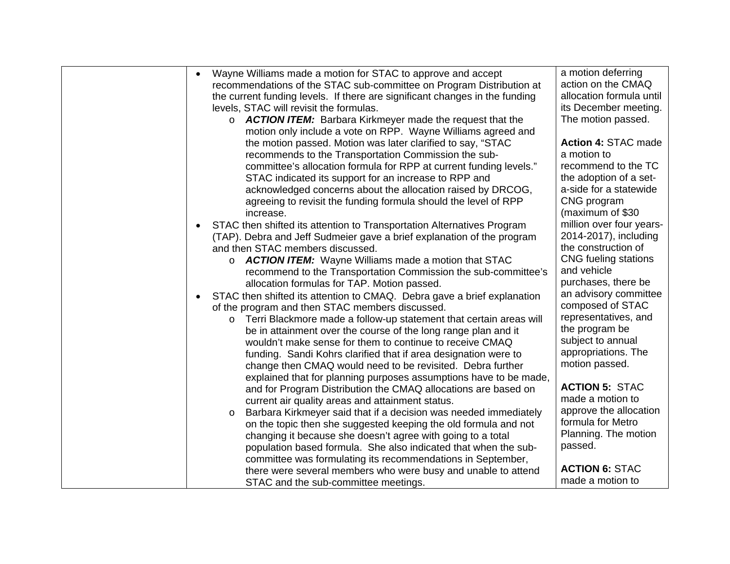| Wayne Williams made a motion for STAC to approve and accept                   | a motion deferring       |
|-------------------------------------------------------------------------------|--------------------------|
| recommendations of the STAC sub-committee on Program Distribution at          | action on the CMAQ       |
| the current funding levels. If there are significant changes in the funding   | allocation formula until |
| levels, STAC will revisit the formulas.                                       | its December meeting.    |
| o <b>ACTION ITEM:</b> Barbara Kirkmeyer made the request that the             | The motion passed.       |
| motion only include a vote on RPP. Wayne Williams agreed and                  |                          |
| the motion passed. Motion was later clarified to say, "STAC                   | Action 4: STAC made      |
| recommends to the Transportation Commission the sub-                          | a motion to              |
| committee's allocation formula for RPP at current funding levels."            | recommend to the TC      |
| STAC indicated its support for an increase to RPP and                         | the adoption of a set-   |
| acknowledged concerns about the allocation raised by DRCOG,                   | a-side for a statewide   |
| agreeing to revisit the funding formula should the level of RPP               | CNG program              |
| increase.                                                                     | (maximum of \$30         |
| STAC then shifted its attention to Transportation Alternatives Program        | million over four years- |
| (TAP). Debra and Jeff Sudmeier gave a brief explanation of the program        | 2014-2017), including    |
| and then STAC members discussed.                                              | the construction of      |
| <b>ACTION ITEM:</b> Wayne Williams made a motion that STAC<br>$\circ$         | CNG fueling stations     |
| recommend to the Transportation Commission the sub-committee's                | and vehicle              |
| allocation formulas for TAP. Motion passed.                                   | purchases, there be      |
| STAC then shifted its attention to CMAQ. Debra gave a brief explanation       | an advisory committee    |
| of the program and then STAC members discussed.                               | composed of STAC         |
| Terri Blackmore made a follow-up statement that certain areas will<br>$\circ$ | representatives, and     |
| be in attainment over the course of the long range plan and it                | the program be           |
| wouldn't make sense for them to continue to receive CMAQ                      | subject to annual        |
| funding. Sandi Kohrs clarified that if area designation were to               | appropriations. The      |
| change then CMAQ would need to be revisited. Debra further                    | motion passed.           |
| explained that for planning purposes assumptions have to be made,             |                          |
| and for Program Distribution the CMAQ allocations are based on                | <b>ACTION 5: STAC</b>    |
| current air quality areas and attainment status.                              | made a motion to         |
| Barbara Kirkmeyer said that if a decision was needed immediately<br>$\circ$   | approve the allocation   |
| on the topic then she suggested keeping the old formula and not               | formula for Metro        |
| changing it because she doesn't agree with going to a total                   | Planning. The motion     |
| population based formula. She also indicated that when the sub-               | passed.                  |
| committee was formulating its recommendations in September,                   |                          |
| there were several members who were busy and unable to attend                 | <b>ACTION 6: STAC</b>    |
| STAC and the sub-committee meetings.                                          | made a motion to         |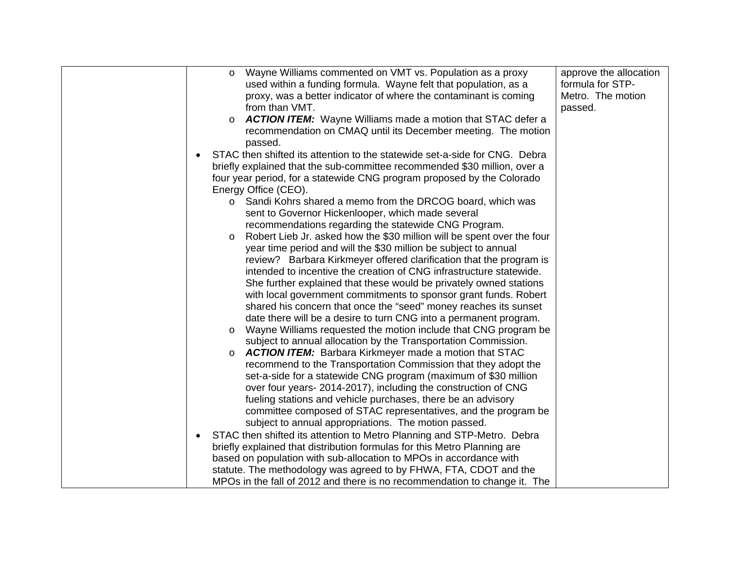| Wayne Williams commented on VMT vs. Population as a proxy<br>$\circ$              | approve the allocation |
|-----------------------------------------------------------------------------------|------------------------|
| used within a funding formula. Wayne felt that population, as a                   | formula for STP-       |
| proxy, was a better indicator of where the contaminant is coming                  | Metro. The motion      |
| from than VMT.                                                                    | passed.                |
| <b>ACTION ITEM:</b> Wayne Williams made a motion that STAC defer a<br>O           |                        |
| recommendation on CMAQ until its December meeting. The motion                     |                        |
| passed.                                                                           |                        |
| STAC then shifted its attention to the statewide set-a-side for CNG. Debra        |                        |
| briefly explained that the sub-committee recommended \$30 million, over a         |                        |
| four year period, for a statewide CNG program proposed by the Colorado            |                        |
| Energy Office (CEO).                                                              |                        |
| Sandi Kohrs shared a memo from the DRCOG board, which was<br>$\circ$              |                        |
| sent to Governor Hickenlooper, which made several                                 |                        |
| recommendations regarding the statewide CNG Program.                              |                        |
| Robert Lieb Jr. asked how the \$30 million will be spent over the four<br>$\circ$ |                        |
| year time period and will the \$30 million be subject to annual                   |                        |
| review? Barbara Kirkmeyer offered clarification that the program is               |                        |
| intended to incentive the creation of CNG infrastructure statewide.               |                        |
| She further explained that these would be privately owned stations                |                        |
| with local government commitments to sponsor grant funds. Robert                  |                        |
| shared his concern that once the "seed" money reaches its sunset                  |                        |
| date there will be a desire to turn CNG into a permanent program.                 |                        |
| Wayne Williams requested the motion include that CNG program be<br>O              |                        |
| subject to annual allocation by the Transportation Commission.                    |                        |
| <b>ACTION ITEM:</b> Barbara Kirkmeyer made a motion that STAC<br>O                |                        |
| recommend to the Transportation Commission that they adopt the                    |                        |
| set-a-side for a statewide CNG program (maximum of \$30 million                   |                        |
| over four years- 2014-2017), including the construction of CNG                    |                        |
| fueling stations and vehicle purchases, there be an advisory                      |                        |
| committee composed of STAC representatives, and the program be                    |                        |
| subject to annual appropriations. The motion passed.                              |                        |
| STAC then shifted its attention to Metro Planning and STP-Metro. Debra            |                        |
| briefly explained that distribution formulas for this Metro Planning are          |                        |
| based on population with sub-allocation to MPOs in accordance with                |                        |
| statute. The methodology was agreed to by FHWA, FTA, CDOT and the                 |                        |
| MPOs in the fall of 2012 and there is no recommendation to change it. The         |                        |